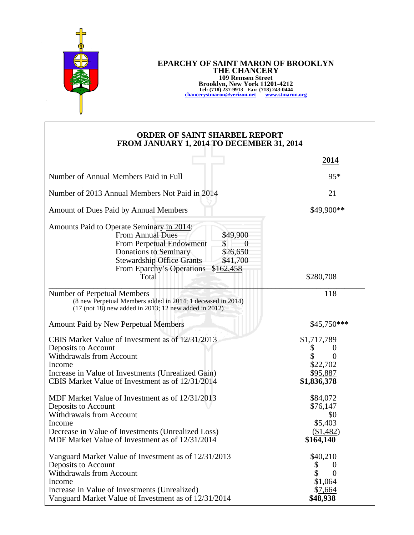

## **EPARCHY OF SAINT MARON OF BROOKLYN THE CHANCERY 109 Remsen Street Brooklyn, New York 11201-4212 Tel: (718) 237-9913 Fax: (718) 243-0444 [chancerystmaron@verizon.net](mailto:chancerystmaron@verizon.net) [www.stmaron.org](http://www.stmaron.org/)**

## **ORDER OF SAINT SHARBEL REPORT FROM JANUARY 1, 2014 TO DECEMBER 31, 2014**

|                                                                                                                                                                                                                                                                               | 2014                                                                             |
|-------------------------------------------------------------------------------------------------------------------------------------------------------------------------------------------------------------------------------------------------------------------------------|----------------------------------------------------------------------------------|
| Number of Annual Members Paid in Full                                                                                                                                                                                                                                         | $95*$                                                                            |
| Number of 2013 Annual Members Not Paid in 2014                                                                                                                                                                                                                                | 21                                                                               |
| Amount of Dues Paid by Annual Members                                                                                                                                                                                                                                         | \$49,900**                                                                       |
| Amounts Paid to Operate Seminary in 2014:<br>\$49,900<br><b>From Annual Dues</b><br>From Perpetual Endowment<br>\$<br>$\theta$<br><b>Donations to Seminary</b><br>\$26,650<br><b>Stewardship Office Grants</b><br>\$41,700<br>From Eparchy's Operations<br>\$162,458<br>Total | \$280,708                                                                        |
| Number of Perpetual Members<br>(8 new Perpetual Members added in 2014; 1 deceased in 2014)<br>$(17 \text{ (not } 18)$ new added in 2013; 12 new added in 2012)                                                                                                                | 118                                                                              |
| Amount Paid by New Perpetual Members                                                                                                                                                                                                                                          | \$45,750***                                                                      |
| CBIS Market Value of Investment as of 12/31/2013<br>Deposits to Account<br>Withdrawals from Account<br>Income<br>Increase in Value of Investments (Unrealized Gain)<br>CBIS Market Value of Investment as of 12/31/2014                                                       | \$1,717,789<br>\$<br>$\theta$<br>$\Omega$<br>\$22,702<br>\$95,887<br>\$1,836,378 |
| MDF Market Value of Investment as of 12/31/2013<br>Deposits to Account<br>Withdrawals from Account<br>Income<br>Decrease in Value of Investments (Unrealized Loss)<br>MDF Market Value of Investment as of 12/31/2014                                                         | \$84,072<br>\$76,147<br>\$0<br>\$5,403<br>(\$1,482)<br>\$164,140                 |
| Vanguard Market Value of Investment as of 12/31/2013<br>Deposits to Account<br><b>Withdrawals from Account</b><br>Income<br>Increase in Value of Investments (Unrealized)<br>Vanguard Market Value of Investment as of 12/31/2014                                             | \$40,210<br>\$<br>$\theta$<br>$\Omega$<br>\$1,064<br>\$7,664<br>\$48,938         |